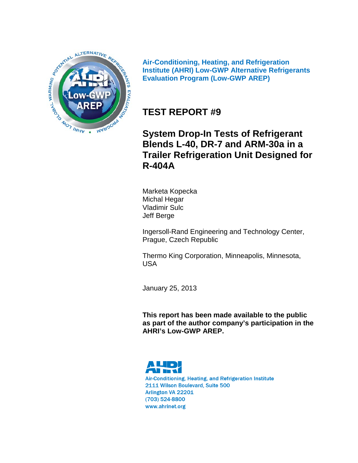

**Air-Conditioning, Heating, and Refrigeration Institute (AHRI) Low-GWP Alternative Refrigerants Evaluation Program (Low-GWP AREP)**

# **TEST REPORT #9**

**System Drop-In Tests of Refrigerant Blends L-40, DR-7 and ARM-30a in a Trailer Refrigeration Unit Designed for R-404A**

Marketa Kopecka Michal Hegar Vladimir Sulc Jeff Berge

Ingersoll-Rand Engineering and Technology Center, Prague, Czech Republic

Thermo King Corporation, Minneapolis, Minnesota, USA

January 25, 2013

**This report has been made available to the public as part of the author company's participation in the AHRI's Low-GWP AREP.**



Air-Conditioning, Heating, and Refrigeration Institute 2111 Wilson Boulevard, Suite 500 Arlington VA 22201 (703) 524-8800 www.ahrinet.org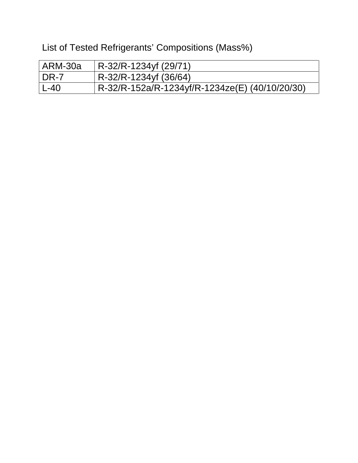List of Tested Refrigerants' Compositions (Mass%)

| ARM-30a | R-32/R-1234yf (29/71)                          |
|---------|------------------------------------------------|
| DR-7    | R-32/R-1234yf (36/64)                          |
| $L-40$  | R-32/R-152a/R-1234yf/R-1234ze(E) (40/10/20/30) |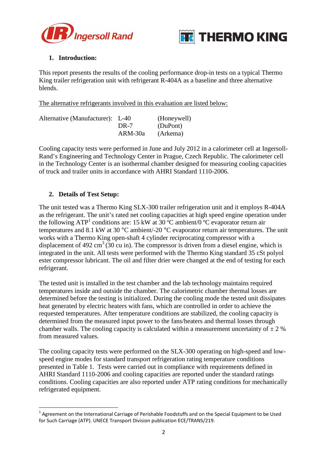



## **1. Introduction:**

This report presents the results of the cooling performance drop-in tests on a typical Thermo King trailer refrigeration unit with refrigerant R-404A as a baseline and three alternative blends.

The alternative refrigerants involved in this evaluation are listed below:

| Alternative (Manufacturer): L-40 |         | (Honeywell) |
|----------------------------------|---------|-------------|
|                                  | DR-7    | (DuPont)    |
|                                  | ARM-30a | (Arkema)    |

Cooling capacity tests were performed in June and July 2012 in a calorimeter cell at Ingersoll-Rand's Engineering and Technology Center in Prague, Czech Republic. The calorimeter cell in the Technology Center is an isothermal chamber designed for measuring cooling capacities of truck and trailer units in accordance with AHRI Standard 1110-2006.

## **2. Details of Test Setup:**

l

The unit tested was a Thermo King SLX-300 trailer refrigeration unit and it employs R-404A as the refrigerant. The unit's rated net cooling capacities at high speed engine operation under the following  $ATP<sup>1</sup>$  conditions are: 15 kW at 30 °C ambient/0 °C evaporator return air temperatures and 8.1 kW at 30 °C ambient/-20 °C evaporator return air temperatures. The unit works with a Thermo King open-shaft 4 cylinder reciprocating compressor with a displacement of 492 cm<sup>3</sup> (30 cu in). The compressor is driven from a diesel engine, which is integrated in the unit. All tests were performed with the Thermo King standard 35 cSt polyol ester compressor lubricant. The oil and filter drier were changed at the end of testing for each refrigerant.

The tested unit is installed in the test chamber and the lab technology maintains required temperatures inside and outside the chamber. The calorimetric chamber thermal losses are determined before the testing is initialized. During the cooling mode the tested unit dissipates heat generated by electric heaters with fans, which are controlled in order to achieve the requested temperatures. After temperature conditions are stabilized, the cooling capacity is determined from the measured input power to the fans/heaters and thermal losses through chamber walls. The cooling capacity is calculated within a measurement uncertainty of  $\pm 2$  % from measured values.

The cooling capacity tests were performed on the SLX-300 operating on high-speed and lowspeed engine modes for standard transport refrigeration rating temperature conditions presented in Table 1. Tests were carried out in compliance with requirements defined in AHRI Standard 1110-2006 and cooling capacities are reported under the standard ratings conditions. Cooling capacities are also reported under ATP rating conditions for mechanically refrigerated equipment.

 $^1$  Agreement on the International Carriage of Perishable Foodstuffs and on the Special Equipment to be Used for Such Carriage (ATP). UNECE Transport Division publication ECE/TRANS/219.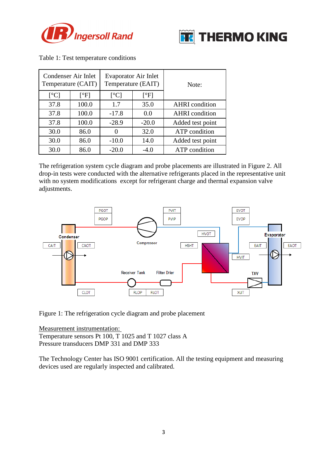



| Temperature (CAIT)        | Condenser Air Inlet             | <b>Evaporator Air Inlet</b><br>Temperature (EAIT) |                                 | Note:                 |
|---------------------------|---------------------------------|---------------------------------------------------|---------------------------------|-----------------------|
| $\lceil{^{\circ}C}\rceil$ | $\lceil \, \mathrm{PFI} \rceil$ | $\lceil{^{\circ}C}\rceil$                         | $\lceil \, \mathrm{PFI} \rceil$ |                       |
| 37.8                      | 100.0                           | 1.7                                               | 35.0                            | <b>AHRI</b> condition |
| 37.8                      | 100.0                           | $-17.8$                                           | 0.0                             | <b>AHRI</b> condition |
| 37.8                      | 100.0                           | $-28.9$                                           | $-20.0$                         | Added test point      |
| 30.0                      | 86.0                            | $\mathbf{0}$                                      | 32.0                            | ATP condition         |
| 30.0                      | 86.0                            | $-10.0$                                           | 14.0                            | Added test point      |
| 30.0                      | 86.0                            | $-20.0$                                           | $-4.0$                          | ATP condition         |

Table 1: Test temperature conditions

The refrigeration system cycle diagram and probe placements are illustrated in Figure 2. All drop-in tests were conducted with the alternative refrigerants placed in the representative unit with no system modifications except for refrigerant charge and thermal expansion valve adjustments.



Figure 1: The refrigeration cycle diagram and probe placement

Measurement instrumentation: Temperature sensors Pt 100, T 1025 and T 1027 class A Pressure transducers DMP 331 and DMP 333

The Technology Center has ISO 9001 certification. All the testing equipment and measuring devices used are regularly inspected and calibrated.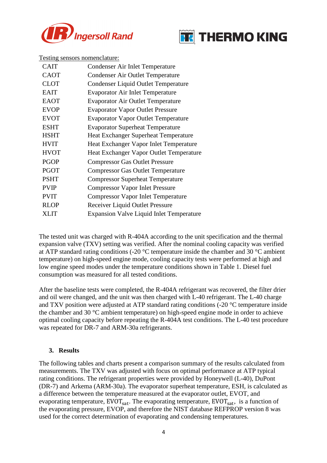



#### Testing sensors nomenclature:

| <b>CAIT</b> | Condenser Air Inlet Temperature                 |
|-------------|-------------------------------------------------|
| <b>CAOT</b> | Condenser Air Outlet Temperature                |
| <b>CLOT</b> | <b>Condenser Liquid Outlet Temperature</b>      |
| <b>EAIT</b> | <b>Evaporator Air Inlet Temperature</b>         |
| <b>EAOT</b> | <b>Evaporator Air Outlet Temperature</b>        |
| <b>EVOP</b> | <b>Evaporator Vapor Outlet Pressure</b>         |
| <b>EVOT</b> | <b>Evaporator Vapor Outlet Temperature</b>      |
| <b>ESHT</b> | <b>Evaporator Superheat Temperature</b>         |
| <b>HSHT</b> | <b>Heat Exchanger Superheat Temperature</b>     |
| <b>HVIT</b> | Heat Exchanger Vapor Inlet Temperature          |
| <b>HVOT</b> | Heat Exchanger Vapor Outlet Temperature         |
| <b>PGOP</b> | <b>Compressor Gas Outlet Pressure</b>           |
| <b>PGOT</b> | <b>Compressor Gas Outlet Temperature</b>        |
| <b>PSHT</b> | <b>Compressor Superheat Temperature</b>         |
| <b>PVIP</b> | <b>Compressor Vapor Inlet Pressure</b>          |
| <b>PVIT</b> | <b>Compressor Vapor Inlet Temperature</b>       |
| <b>RLOP</b> | Receiver Liquid Outlet Pressure                 |
| XLIT        | <b>Expansion Valve Liquid Inlet Temperature</b> |

The tested unit was charged with R-404A according to the unit specification and the thermal expansion valve (TXV) setting was verified. After the nominal cooling capacity was verified at ATP standard rating conditions (-20 °C temperature inside the chamber and 30 °C ambient temperature) on high-speed engine mode, cooling capacity tests were performed at high and low engine speed modes under the temperature conditions shown in Table 1. Diesel fuel consumption was measured for all tested conditions.

After the baseline tests were completed, the R-404A refrigerant was recovered, the filter drier and oil were changed, and the unit was then charged with L-40 refrigerant. The L-40 charge and TXV position were adjusted at ATP standard rating conditions (-20 °C temperature inside the chamber and 30 °C ambient temperature) on high-speed engine mode in order to achieve optimal cooling capacity before repeating the R-404A test conditions. The L-40 test procedure was repeated for DR-7 and ARM-30a refrigerants.

### **3. Results**

The following tables and charts present a comparison summary of the results calculated from measurements. The TXV was adjusted with focus on optimal performance at ATP typical rating conditions. The refrigerant properties were provided by Honeywell (L-40), DuPont (DR-7) and Arkema (ARM-30a). The evaporator superheat temperature, ESH, is calculated as a difference between the temperature measured at the evaporator outlet, EVOT, and evaporating temperature,  $EVOT<sub>sat</sub>$ . The evaporating temperature,  $EVOT<sub>sat</sub>$ , is a function of the evaporating pressure, EVOP, and therefore the NIST database REFPROP version 8 was used for the correct determination of evaporating and condensing temperatures.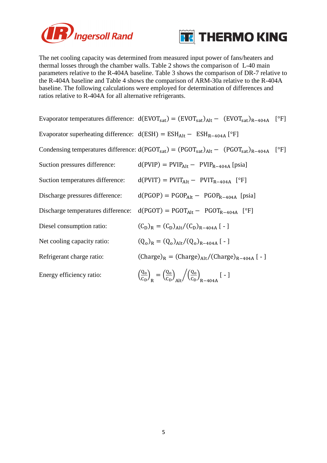



The net cooling capacity was determined from measured input power of fans/heaters and thermal losses through the chamber walls. Table 2 shows the comparison of L-40 main parameters relative to the R-404A baseline. Table 3 shows the comparison of DR-7 relative to the R-404A baseline and Table 4 shows the comparison of ARM-30a relative to the R-404A baseline. The following calculations were employed for determination of differences and ratios relative to R-404A for all alternative refrigerants.

Evaporator temperatures difference:  $d(EVOT_{sat}) = (EVOT_{sat})_{Alt} - (EVOT_{sat})_{R-404A}$  [°F] Evaporator superheating difference:  $d(ESH) = ESH<sub>Alt</sub> - ESH<sub>R-404A</sub>$  [<sup>o</sup>F] Condensing temperatures difference:  $d(PGOT_{sat}) = (PGOT_{sat})_{Alt} - (PGOT_{sat})_{R-404A}$  [<sup>o</sup>F] Suction pressures difference:  $d(PVIP) = PVIP<sub>Alt</sub> - PVIP<sub>R-404A</sub>$  [psia] Suction temperatures difference:  $d(PVIT) = PVIT_{Alt} - PVIT_{R-404A}$  [°F] Discharge pressures difference:  $d(PGOP) = PGOP<sub>Alt</sub> - PGOP<sub>R-404A</sub>$  [psia] Discharge temperatures difference:  $d(PGOT) = PGOT_{Alt} - PGOT_{R-404A}$  [°F] Diesel consumption ratio:  $_{R} = (C_{D})_{Alt}/(C_{D})_{R-404A}$  [-] Net cooling capacity ratio:  $D_R = (Q_0)_{Alt} / (Q_0)_{R-404A}$  [-1] Refrigerant charge ratio:  $R = (Change)_{Alt} / (Change)_{R-404A}$  [-] Energy efficiency ratio: <u>Qo</u>  $\frac{Q_{\rm 0}}{C_{\rm D}}$ R  $=\left(\frac{Q_{o}}{C_{D}}\right)$ Alt  $\left(\frac{Q_0}{C_0}\right)$  $\frac{Q_{\rm o}}{C_{\rm D}}$ R-404A  $\left/ \left( \frac{\mathcal{Q}_0}{C_D} \right)$  [-]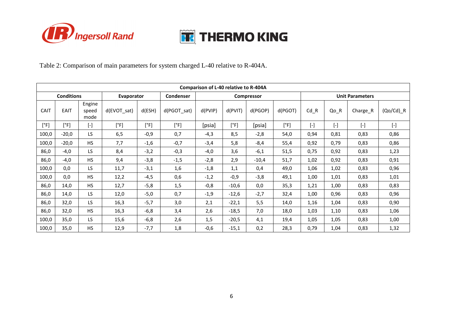



Table 2: Comparison of main parameters for system charged L-40 relative to R-404A.

| Comparison of L-40 relative to R-404A |                   |                         |                         |        |             |                   |         |         |         |         |                        |                                                                                                                                                                                                                                                                                                                                                                                                                                                                                                                                                                                         |                        |  |
|---------------------------------------|-------------------|-------------------------|-------------------------|--------|-------------|-------------------|---------|---------|---------|---------|------------------------|-----------------------------------------------------------------------------------------------------------------------------------------------------------------------------------------------------------------------------------------------------------------------------------------------------------------------------------------------------------------------------------------------------------------------------------------------------------------------------------------------------------------------------------------------------------------------------------------|------------------------|--|
|                                       | <b>Conditions</b> |                         | Evaporator<br>Condenser |        |             | <b>Compressor</b> |         |         |         |         | <b>Unit Parameters</b> |                                                                                                                                                                                                                                                                                                                                                                                                                                                                                                                                                                                         |                        |  |
| CAIT                                  | <b>EAIT</b>       | Engine<br>speed<br>mode | $d$ (EVOT sat)          | d(ESH) | d(PGOT sat) | d(PVIP)           | d(PVIT) | d(PGOP) | d(PGOT) | Cd R    | $Qo_R$                 | Charge_R                                                                                                                                                                                                                                                                                                                                                                                                                                                                                                                                                                                | $(Qo/Cd)$ <sub>R</sub> |  |
| [°F]                                  | [°F]              | $[\cdot]$               | [°F]                    | [°F]   | [°F]        | [psia]            | [°F]    | [psia]  | [°F]    | $[ - ]$ | $[\cdot]$              | $[\cdot] % \centering \includegraphics[width=0.9\columnwidth]{figures/fig_10.pdf} \caption{The graph $\mathcal{N}_1$ is a function of the number of~\textit{N}_1$-error of the number of~\textit{N}_2$-error of the number of~\textit{N}_1$-error of the number of~\textit{N}_2$-error of the number of~\textit{N}_1$-error of the number of~\textit{N}_2$-error of the number of~\textit{N}_1$-error of the number of~\textit{N}_2$-error of the number of~\textit{N}_1$-error of the number of~\textit{N}_2$-error of the number of~\textit{N}_1$-error of the number of~\textit{N}_$ | $[\cdot]$              |  |
| 100,0                                 | $-20,0$           | <b>LS</b>               | 6,5                     | $-0,9$ | 0,7         | $-4,3$            | 8,5     | $-2,8$  | 54,0    | 0,94    | 0,81                   | 0,83                                                                                                                                                                                                                                                                                                                                                                                                                                                                                                                                                                                    | 0,86                   |  |
| 100,0                                 | $-20,0$           | <b>HS</b>               | 7,7                     | $-1,6$ | $-0,7$      | $-3,4$            | 5,8     | $-8,4$  | 55,4    | 0,92    | 0,79                   | 0,83                                                                                                                                                                                                                                                                                                                                                                                                                                                                                                                                                                                    | 0,86                   |  |
| 86,0                                  | $-4,0$            | LS                      | 8,4                     | $-3,2$ | $-0,3$      | $-4,0$            | 3,6     | $-6,1$  | 51,5    | 0,75    | 0,92                   | 0,83                                                                                                                                                                                                                                                                                                                                                                                                                                                                                                                                                                                    | 1,23                   |  |
| 86,0                                  | $-4,0$            | <b>HS</b>               | 9,4                     | $-3,8$ | $-1,5$      | $-2,8$            | 2,9     | $-10,4$ | 51,7    | 1,02    | 0,92                   | 0,83                                                                                                                                                                                                                                                                                                                                                                                                                                                                                                                                                                                    | 0,91                   |  |
| 100,0                                 | 0,0               | LS                      | 11,7                    | $-3,1$ | 1,6         | $-1,8$            | 1,1     | 0,4     | 49,0    | 1,06    | 1,02                   | 0,83                                                                                                                                                                                                                                                                                                                                                                                                                                                                                                                                                                                    | 0,96                   |  |
| 100,0                                 | 0,0               | <b>HS</b>               | 12,2                    | $-4,5$ | 0,6         | $-1,2$            | $-0,9$  | $-3,8$  | 49,1    | 1,00    | 1,01                   | 0,83                                                                                                                                                                                                                                                                                                                                                                                                                                                                                                                                                                                    | 1,01                   |  |
| 86,0                                  | 14,0              | <b>HS</b>               | 12,7                    | $-5,8$ | 1,5         | $-0,8$            | $-10,6$ | 0,0     | 35,3    | 1,21    | 1,00                   | 0,83                                                                                                                                                                                                                                                                                                                                                                                                                                                                                                                                                                                    | 0,83                   |  |
| 86,0                                  | 14,0              | LS.                     | 12,0                    | $-5,0$ | 0,7         | $-1,9$            | $-12,6$ | $-2,7$  | 32,4    | 1,00    | 0,96                   | 0,83                                                                                                                                                                                                                                                                                                                                                                                                                                                                                                                                                                                    | 0,96                   |  |
| 86,0                                  | 32,0              | LS.                     | 16,3                    | $-5,7$ | 3,0         | 2,1               | $-22,1$ | 5,5     | 14,0    | 1,16    | 1,04                   | 0,83                                                                                                                                                                                                                                                                                                                                                                                                                                                                                                                                                                                    | 0,90                   |  |
| 86,0                                  | 32,0              | <b>HS</b>               | 16,3                    | $-6,8$ | 3,4         | 2,6               | $-18,5$ | 7,0     | 18,0    | 1,03    | 1,10                   | 0,83                                                                                                                                                                                                                                                                                                                                                                                                                                                                                                                                                                                    | 1,06                   |  |
| 100,0                                 | 35,0              | LS                      | 15,6                    | $-6,8$ | 2,6         | 1,5               | $-20,5$ | 4,1     | 19,4    | 1,05    | 1,05                   | 0,83                                                                                                                                                                                                                                                                                                                                                                                                                                                                                                                                                                                    | 1,00                   |  |
| 100,0                                 | 35,0              | <b>HS</b>               | 12,9                    | $-7,7$ | 1,8         | $-0,6$            | $-15,1$ | 0,2     | 28,3    | 0,79    | 1,04                   | 0,83                                                                                                                                                                                                                                                                                                                                                                                                                                                                                                                                                                                    | 1,32                   |  |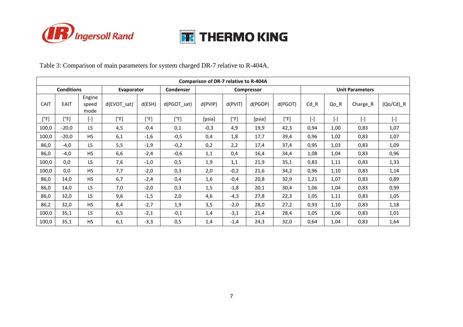



Table 3: Comparison of main parameters for system charged DR-7 relative to R-404A.

| Comparison of DR-7 relative to R-404A |                   |                         |                         |        |             |                   |         |         |         |                        |           |           |                        |
|---------------------------------------|-------------------|-------------------------|-------------------------|--------|-------------|-------------------|---------|---------|---------|------------------------|-----------|-----------|------------------------|
|                                       | <b>Conditions</b> |                         | Evaporator<br>Condenser |        |             | <b>Compressor</b> |         |         |         | <b>Unit Parameters</b> |           |           |                        |
| <b>CAIT</b>                           | <b>EAIT</b>       | Engine<br>speed<br>mode | d(EVOT sat)             | d(ESH) | d(PGOT sat) | d(PVIP)           | d(PVIT) | d(PGOP) | d(PGOT) | $Cd_R$                 | $Qo_R$    | Charge_R  | $(Qo/Cd)$ <sup>R</sup> |
| [°F]                                  | [°F]              | $[\cdot]$               | [°F]                    | [°F]   | [°F]        | [psia]            | [°F]    | [psia]  | [°F]    | $[\cdot]$              | $[\cdot]$ | $[\cdot]$ | $[\cdot]$              |
| 100,0                                 | $-20,0$           | LS.                     | 4,5                     | $-0,4$ | 0,1         | $-0,3$            | 4,9     | 19,9    | 42,3    | 0,94                   | 1,00      | 0,83      | 1,07                   |
| 100,0                                 | $-20,0$           | <b>HS</b>               | 6,1                     | $-1,6$ | $-0,5$      | 0,4               | 1,8     | 17,7    | 39,4    | 0,96                   | 1,02      | 0,83      | 1,07                   |
| 86,0                                  | $-4,0$            | LS.                     | 5,5                     | $-1,9$ | $-0,2$      | 0,2               | 2,2     | 17,4    | 37,4    | 0,95                   | 1,03      | 0,83      | 1,09                   |
| 86,0                                  | $-4,0$            | <b>HS</b>               | 6,6                     | $-2,4$ | $-0,6$      | 1,1               | 0,4     | 16,4    | 34,4    | 1,08                   | 1,04      | 0,83      | 0,96                   |
| 100,0                                 | 0,0               | LS.                     | 7,6                     | $-1,0$ | 0,5         | 1,9               | 1,1     | 21,9    | 35,1    | 0,83                   | 1,11      | 0,83      | 1,33                   |
| 100,0                                 | 0,0               | <b>HS</b>               | 7,7                     | $-2,0$ | 0,3         | 2,0               | $-0,2$  | 21,6    | 34,2    | 0,96                   | 1,10      | 0,83      | 1,14                   |
| 86,0                                  | 14,0              | <b>HS</b>               | 6,7                     | $-2,4$ | 0,4         | 1,6               | $-0,4$  | 20,8    | 32,9    | 1,21                   | 1,07      | 0,83      | 0,89                   |
| 86,0                                  | 14,0              | LS.                     | 7,0                     | $-2,0$ | 0,3         | 1,5               | $-1,8$  | 20,1    | 30,4    | 1,06                   | 1,04      | 0,83      | 0,99                   |
| 86,0                                  | 32,0              | LS.                     | 9,6                     | $-1,5$ | 2,0         | 4,6               | $-4,3$  | 27,8    | 22,3    | 1,05                   | 1,11      | 0,83      | 1,05                   |
| 86,2                                  | 32,0              | <b>HS</b>               | 8,4                     | $-2,7$ | 1,9         | 3,5               | $-2,0$  | 28,0    | 27,2    | 0,93                   | 1,10      | 0,83      | 1,18                   |
| 100,0                                 | 35,1              | LS.                     | 6,5                     | $-2,1$ | $-0,1$      | 1,4               | $-3,1$  | 21,4    | 28,4    | 1,05                   | 1,06      | 0,83      | 1,01                   |
| 100,0                                 | 35,1              | <b>HS</b>               | 6,1                     | $-3,3$ | 0,5         | 1,4               | $-1,4$  | 24,3    | 32,0    | 0,64                   | 1,04      | 0,83      | 1,64                   |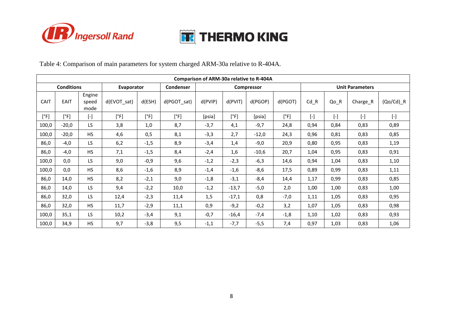



Table 4: Comparison of main parameters for system charged ARM-30a relative to R-404A.

| Comparison of ARM-30a relative to R-404A                          |             |                         |             |        |             |                        |         |         |         |           |           |          |                        |
|-------------------------------------------------------------------|-------------|-------------------------|-------------|--------|-------------|------------------------|---------|---------|---------|-----------|-----------|----------|------------------------|
| <b>Conditions</b><br>Evaporator<br>Condenser<br><b>Compressor</b> |             |                         |             |        |             | <b>Unit Parameters</b> |         |         |         |           |           |          |                        |
| <b>CAIT</b>                                                       | <b>EAIT</b> | Engine<br>speed<br>mode | d(EVOT_sat) | d(ESH) | d(PGOT_sat) | d(PVIP)                | d(PVIT) | d(PGOP) | d(PGOT) | Cd R      | $Qo_R$    | Charge_R | $(Qo/Cd)$ <sub>R</sub> |
| [°F]                                                              | [°F]        | $[\cdot]$               | [°F]        | [°F]   | [°F]        | [psia]                 | [°F]    | [psia]  | [°F]    | $[\cdot]$ | $[\cdot]$ | $[$      | $[\cdot]$              |
| 100,0                                                             | $-20,0$     | LS.                     | 3,8         | 1,0    | 8,7         | $-3,7$                 | 4,1     | $-9,7$  | 24,8    | 0,94      | 0,84      | 0,83     | 0,89                   |
| 100,0                                                             | $-20,0$     | <b>HS</b>               | 4,6         | 0,5    | 8,1         | $-3,3$                 | 2,7     | $-12,0$ | 24,3    | 0,96      | 0,81      | 0,83     | 0,85                   |
| 86,0                                                              | $-4,0$      | LS                      | 6,2         | $-1,5$ | 8,9         | $-3,4$                 | 1,4     | $-9,0$  | 20,9    | 0,80      | 0,95      | 0,83     | 1,19                   |
| 86,0                                                              | $-4,0$      | <b>HS</b>               | 7,1         | $-1,5$ | 8,4         | $-2,4$                 | 1,6     | $-10,6$ | 20,7    | 1,04      | 0,95      | 0,83     | 0,91                   |
| 100,0                                                             | 0,0         | <b>LS</b>               | 9,0         | $-0,9$ | 9,6         | $-1,2$                 | $-2,3$  | $-6,3$  | 14,6    | 0,94      | 1,04      | 0,83     | 1,10                   |
| 100,0                                                             | 0,0         | <b>HS</b>               | 8,6         | $-1,6$ | 8,9         | $-1,4$                 | $-1,6$  | $-8,6$  | 17,5    | 0,89      | 0,99      | 0,83     | 1,11                   |
| 86,0                                                              | 14,0        | <b>HS</b>               | 8,2         | $-2,1$ | 9,0         | $-1,8$                 | $-3,1$  | $-8,4$  | 14,4    | 1,17      | 0,99      | 0,83     | 0,85                   |
| 86,0                                                              | 14,0        | LS.                     | 9,4         | $-2,2$ | 10,0        | $-1,2$                 | $-13,7$ | $-5,0$  | 2,0     | 1,00      | 1,00      | 0,83     | 1,00                   |
| 86,0                                                              | 32,0        | LS.                     | 12,4        | $-2,3$ | 11,4        | 1,5                    | $-17,1$ | 0,8     | $-7,0$  | 1,11      | 1,05      | 0,83     | 0,95                   |
| 86,0                                                              | 32,0        | <b>HS</b>               | 11,7        | $-2,9$ | 11,1        | 0,9                    | $-9,2$  | $-0,2$  | 3,2     | 1,07      | 1,05      | 0,83     | 0,98                   |
| 100,0                                                             | 35,1        | <b>LS</b>               | 10,2        | $-3,4$ | 9,1         | $-0,7$                 | $-16,4$ | $-7,4$  | $-1,8$  | 1,10      | 1,02      | 0,83     | 0,93                   |
| 100,0                                                             | 34,9        | <b>HS</b>               | 9,7         | $-3,8$ | 9,5         | $-1,1$                 | $-7,7$  | $-5,5$  | 7,4     | 0,97      | 1,03      | 0,83     | 1,06                   |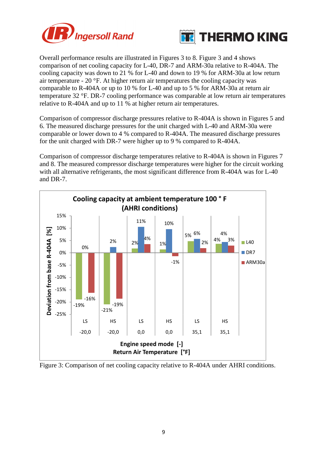



Overall performance results are illustrated in Figures 3 to 8. Figure 3 and 4 shows comparison of net cooling capacity for L-40, DR-7 and ARM-30a relative to R-404A. The cooling capacity was down to 21 % for L-40 and down to 19 % for ARM-30a at low return air temperature - 20 °F. At higher return air temperatures the cooling capacity was comparable to R-404A or up to 10 % for L-40 and up to 5 % for ARM-30a at return air temperature 32 °F. DR-7 cooling performance was comparable at low return air temperatures relative to R-404A and up to 11 % at higher return air temperatures.

Comparison of compressor discharge pressures relative to R-404A is shown in Figures 5 and 6. The measured discharge pressures for the unit charged with L-40 and ARM-30a were comparable or lower down to 4 % compared to R-404A. The measured discharge pressures for the unit charged with DR-7 were higher up to 9 % compared to R-404A.

Comparison of compressor discharge temperatures relative to R-404A is shown in Figures 7 and 8. The measured compressor discharge temperatures were higher for the circuit working with all alternative refrigerants, the most significant difference from R-404A was for L-40 and DR-7.



Figure 3: Comparison of net cooling capacity relative to R-404A under AHRI conditions.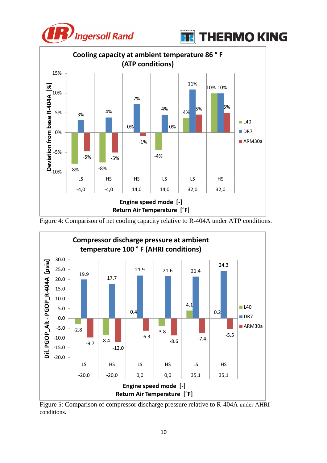





Figure 4: Comparison of net cooling capacity relative to R-404A under ATP conditions.



Figure 5: Comparison of compressor discharge pressure relative to R-404A under AHRI conditions.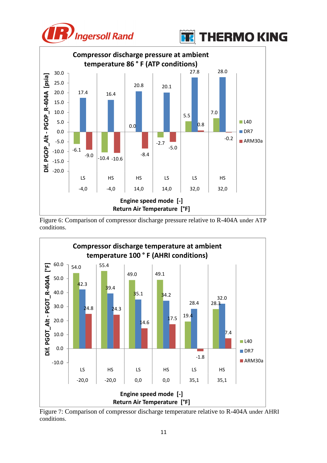



**FRITHERMO KING** 

Figure 6: Comparison of compressor discharge pressure relative to R-404A under ATP conditions.



Figure 7: Comparison of compressor discharge temperature relative to R-404A under AHRI conditions.